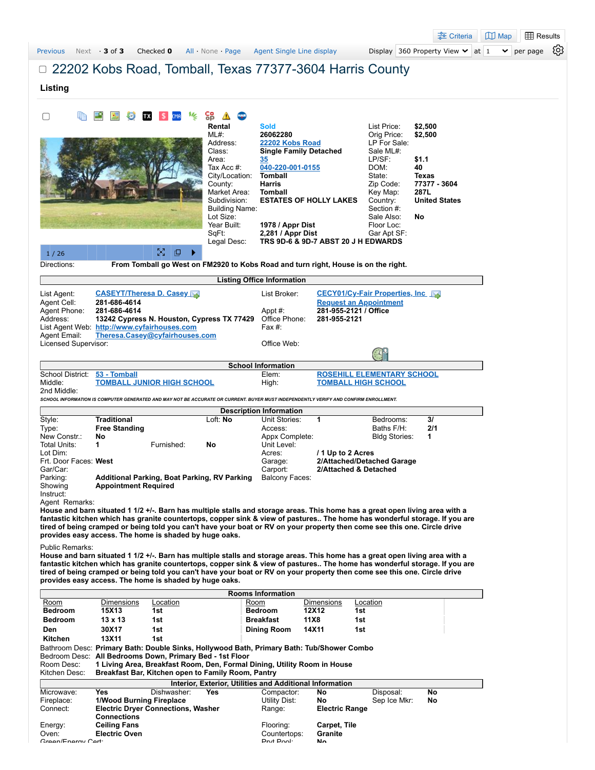|                                   |                              |                                                                               |                                       |                                                                                                                                      |                                                                 |                                    | <u><sub>-</sub><sub>-</sub>•</u> Criteria                                                                                  | $\mathbb{D}$ Map<br><b>H</b> Results |
|-----------------------------------|------------------------------|-------------------------------------------------------------------------------|---------------------------------------|--------------------------------------------------------------------------------------------------------------------------------------|-----------------------------------------------------------------|------------------------------------|----------------------------------------------------------------------------------------------------------------------------|--------------------------------------|
| <b>Previous</b>                   | Next 3 of 3                  | Checked 0                                                                     | All None Page                         | Agent Single Line display                                                                                                            |                                                                 |                                    | Display 360 Property View $\vee$ at 1                                                                                      | $\checkmark$<br>per page             |
|                                   |                              |                                                                               |                                       | □ 22202 Kobs Road, Tomball, Texas 77377-3604 Harris County                                                                           |                                                                 |                                    |                                                                                                                            |                                      |
|                                   |                              |                                                                               |                                       |                                                                                                                                      |                                                                 |                                    |                                                                                                                            |                                      |
| Listing                           |                              |                                                                               |                                       |                                                                                                                                      |                                                                 |                                    |                                                                                                                            |                                      |
|                                   |                              |                                                                               |                                       |                                                                                                                                      |                                                                 |                                    |                                                                                                                            |                                      |
| $\Box$                            |                              |                                                                               | 엶<br>Rental                           | <b>Sold</b>                                                                                                                          |                                                                 | List Price:                        | \$2,500                                                                                                                    |                                      |
|                                   |                              |                                                                               | ML#:                                  | 26062280                                                                                                                             |                                                                 | Orig Price:                        | \$2,500                                                                                                                    |                                      |
|                                   |                              |                                                                               | Address:<br>Class:                    | 22202 Kobs Road<br><b>Single Family Detached</b>                                                                                     |                                                                 | LP For Sale:<br>Sale ML#:          |                                                                                                                            |                                      |
|                                   |                              |                                                                               | Area:                                 | 35                                                                                                                                   |                                                                 | LP/SF:                             | \$1.1                                                                                                                      |                                      |
|                                   |                              |                                                                               | Tax Acc #:<br>City/Location:          | 040-220-001-0155<br>Tomball                                                                                                          |                                                                 | DOM:<br>State:                     | 40<br>Texas                                                                                                                |                                      |
|                                   |                              |                                                                               | County:                               | <b>Harris</b>                                                                                                                        |                                                                 | Zip Code:                          | 77377 - 3604                                                                                                               |                                      |
|                                   |                              |                                                                               | Market Area:                          | <b>Tomball</b>                                                                                                                       |                                                                 | Key Map:                           | 287L                                                                                                                       |                                      |
|                                   |                              |                                                                               | Subdivision:<br><b>Building Name:</b> | <b>ESTATES OF HOLLY LAKES</b>                                                                                                        |                                                                 | Country:<br>Section #:             | <b>United States</b>                                                                                                       |                                      |
|                                   |                              |                                                                               | Lot Size:                             |                                                                                                                                      |                                                                 | Sale Also:                         | No                                                                                                                         |                                      |
|                                   |                              |                                                                               | Year Built:<br>SqFt:                  | 1978 / Appr Dist<br>2,281 / Appr Dist                                                                                                |                                                                 | Floor Loc:<br>Gar Apt SF:          |                                                                                                                            |                                      |
|                                   |                              |                                                                               | Legal Desc:                           | TRS 9D-6 & 9D-7 ABST 20 J H EDWARDS                                                                                                  |                                                                 |                                    |                                                                                                                            |                                      |
| 1/26                              |                              | $\frac{N}{2}$<br>口                                                            |                                       |                                                                                                                                      |                                                                 |                                    |                                                                                                                            |                                      |
| Directions:                       |                              |                                                                               |                                       | From Tomball go West on FM2920 to Kobs Road and turn right, House is on the right.                                                   |                                                                 |                                    |                                                                                                                            |                                      |
|                                   |                              |                                                                               |                                       | <b>Listing Office Information</b>                                                                                                    |                                                                 |                                    |                                                                                                                            |                                      |
| List Agent:                       |                              | <b>CASEYT/Theresa D. Casey</b>                                                |                                       | List Broker:                                                                                                                         | CECY01/Cy-Fair Properties, Inc.                                 |                                    |                                                                                                                            |                                      |
| Agent Cell:<br>Agent Phone:       | 281-686-4614<br>281-686-4614 |                                                                               |                                       | Appt #:                                                                                                                              | <b>Request an Appointment</b><br>281-955-2121 / Office          |                                    |                                                                                                                            |                                      |
| Address:                          |                              | 13242 Cypress N. Houston, Cypress TX 77429                                    |                                       | Office Phone:                                                                                                                        | 281-955-2121                                                    |                                    |                                                                                                                            |                                      |
| Agent Email:                      |                              | List Agent Web: http://www.cyfairhouses.com<br>Theresa.Casey@cyfairhouses.com |                                       | Fax #:                                                                                                                               |                                                                 |                                    |                                                                                                                            |                                      |
| Licensed Supervisor:              |                              |                                                                               |                                       | Office Web:                                                                                                                          |                                                                 |                                    |                                                                                                                            |                                      |
|                                   |                              |                                                                               |                                       |                                                                                                                                      |                                                                 | $\mathbb{Z}^{\mathfrak{c}}$        |                                                                                                                            |                                      |
| School District:                  | 53 - Tomball                 |                                                                               |                                       | <b>School Information</b><br>Elem:                                                                                                   |                                                                 |                                    |                                                                                                                            |                                      |
| Middle:                           |                              | <b>TOMBALL JUNIOR HIGH SCHOOL</b>                                             |                                       | High:                                                                                                                                | <b>ROSEHILL ELEMENTARY SCHOOL</b><br><b>TOMBALL HIGH SCHOOL</b> |                                    |                                                                                                                            |                                      |
| 2nd Middle:                       |                              |                                                                               |                                       | SCHOOL INFORMATION IS COMPUTER GENERATED AND MAY NOT BE ACCURATE OR CURRENT. BUYER MUST INDEPENDENTLY VERIFY AND CONFIRM ENROLLMENT. |                                                                 |                                    |                                                                                                                            |                                      |
|                                   |                              |                                                                               |                                       | <b>Description Information</b>                                                                                                       |                                                                 |                                    |                                                                                                                            |                                      |
| Style:                            | <b>Traditional</b>           |                                                                               | Loft: No                              | Unit Stories:                                                                                                                        | 1                                                               | Bedrooms:                          | 31                                                                                                                         |                                      |
| Type:<br>New Constr.:             | <b>Free Standing</b><br>No   |                                                                               |                                       | Access:<br>Appx Complete:                                                                                                            |                                                                 | Baths F/H:<br><b>Bldg Stories:</b> | 2/1<br>1                                                                                                                   |                                      |
| Total Units:                      | 1                            | Furnished:                                                                    | No                                    | Unit Level:                                                                                                                          |                                                                 |                                    |                                                                                                                            |                                      |
| Lot Dim:<br>Frt. Door Faces: West |                              |                                                                               |                                       | Acres:<br>Garage:                                                                                                                    | / 1 Up to 2 Acres<br>2/Attached/Detached Garage                 |                                    |                                                                                                                            |                                      |
| Gar/Car:                          |                              |                                                                               |                                       | Carport:                                                                                                                             | 2/Attached & Detached                                           |                                    |                                                                                                                            |                                      |
| Parking:<br>Showing               | <b>Appointment Required</b>  | <b>Additional Parking, Boat Parking, RV Parking</b>                           |                                       | <b>Balcony Faces:</b>                                                                                                                |                                                                 |                                    |                                                                                                                            |                                      |
| Instruct:                         |                              |                                                                               |                                       |                                                                                                                                      |                                                                 |                                    |                                                                                                                            |                                      |
| Agent Remarks:                    |                              |                                                                               |                                       | House and barn situated 1 1/2 +/-. Barn has multiple stalls and storage areas. This home has a great open living area with a         |                                                                 |                                    |                                                                                                                            |                                      |
|                                   |                              |                                                                               |                                       |                                                                                                                                      |                                                                 |                                    | fantastic kitchen which has granite countertops, copper sink & view of pastures The home has wonderful storage. If you are |                                      |
|                                   |                              | provides easy access. The home is shaded by huge oaks.                        |                                       | tired of being cramped or being told you can't have your boat or RV on your property then come see this one. Circle drive            |                                                                 |                                    |                                                                                                                            |                                      |
| <b>Public Remarks:</b>            |                              |                                                                               |                                       |                                                                                                                                      |                                                                 |                                    |                                                                                                                            |                                      |
|                                   |                              |                                                                               |                                       | House and barn situated 1 1/2 +/-. Barn has multiple stalls and storage areas. This home has a great open living area with a         |                                                                 |                                    |                                                                                                                            |                                      |
|                                   |                              |                                                                               |                                       | tired of being cramped or being told you can't have your boat or RV on your property then come see this one. Circle drive            |                                                                 |                                    | fantastic kitchen which has granite countertops, copper sink & view of pastures The home has wonderful storage. If you are |                                      |
|                                   |                              | provides easy access. The home is shaded by huge oaks.                        |                                       |                                                                                                                                      |                                                                 |                                    |                                                                                                                            |                                      |
|                                   |                              |                                                                               |                                       | <b>Rooms Information</b>                                                                                                             |                                                                 |                                    |                                                                                                                            |                                      |
| <u>Room</u><br>Bedroom            | <b>Dimensions</b><br>15X13   | <u>Location</u><br>1st                                                        |                                       | Room<br><b>Bedroom</b>                                                                                                               | <b>Dimensions</b><br>12X12<br>1st                               | <u>Location</u>                    |                                                                                                                            |                                      |
| <b>Bedroom</b>                    | 13 x 13                      | 1st                                                                           |                                       | Breakfast                                                                                                                            | 11 X 8<br>1st                                                   |                                    |                                                                                                                            |                                      |
| Den                               | 30X17                        | 1st                                                                           |                                       | <b>Dining Room</b>                                                                                                                   | 14X11<br>1st                                                    |                                    |                                                                                                                            |                                      |
| Kitchen                           | 13X11                        | 1st                                                                           |                                       |                                                                                                                                      |                                                                 |                                    |                                                                                                                            |                                      |
|                                   |                              | Bedroom Desc: All Bedrooms Down, Primary Bed - 1st Floor                      |                                       | Bathroom Desc: Primary Bath: Double Sinks, Hollywood Bath, Primary Bath: Tub/Shower Combo                                            |                                                                 |                                    |                                                                                                                            |                                      |
| Room Desc:                        |                              |                                                                               |                                       | 1 Living Area, Breakfast Room, Den, Formal Dining, Utility Room in House                                                             |                                                                 |                                    |                                                                                                                            |                                      |
| Kitchen Desc:                     |                              | Breakfast Bar, Kitchen open to Family Room, Pantry                            |                                       |                                                                                                                                      |                                                                 |                                    |                                                                                                                            |                                      |
| Microwave:                        | <b>Yes</b>                   | Dishwasher:                                                                   | Yes                                   | Interior, Exterior, Utilities and Additional Information<br>Compactor:                                                               | No                                                              | Disposal:                          | No                                                                                                                         |                                      |
| Fireplace:<br>Connect:            | 1/Wood Burning Fireplace     | <b>Electric Dryer Connections Washer</b>                                      |                                       | Utility Dist:<br>Range:                                                                                                              | No<br><b>Electric Range</b>                                     | Sep Ice Mkr:                       | No                                                                                                                         |                                      |

| Interior, Exterior, Utilities and Additional Information |                                           |                          |     |               |                       |              |    |  |  |
|----------------------------------------------------------|-------------------------------------------|--------------------------|-----|---------------|-----------------------|--------------|----|--|--|
| Microwave:                                               | Yes                                       | Dishwasher:              | Yes | Compactor:    | No                    | Disposal:    | No |  |  |
| Fireplace:                                               |                                           | 1/Wood Burning Fireplace |     | Utility Dist: | No                    | Sep Ice Mkr: | No |  |  |
| Connect:                                                 | <b>Electric Dryer Connections, Washer</b> |                          |     | Range:        | <b>Electric Range</b> |              |    |  |  |
|                                                          | <b>Connections</b>                        |                          |     |               |                       |              |    |  |  |
| Energy:                                                  | <b>Ceiling Fans</b>                       |                          |     | Flooring:     | <b>Carpet, Tile</b>   |              |    |  |  |
| Oven:                                                    | <b>Electric Oven</b>                      |                          |     | Countertops:  | Granite               |              |    |  |  |
| Green/Energy Cert:                                       |                                           |                          |     | Prut Pool:    | N۵                    |              |    |  |  |